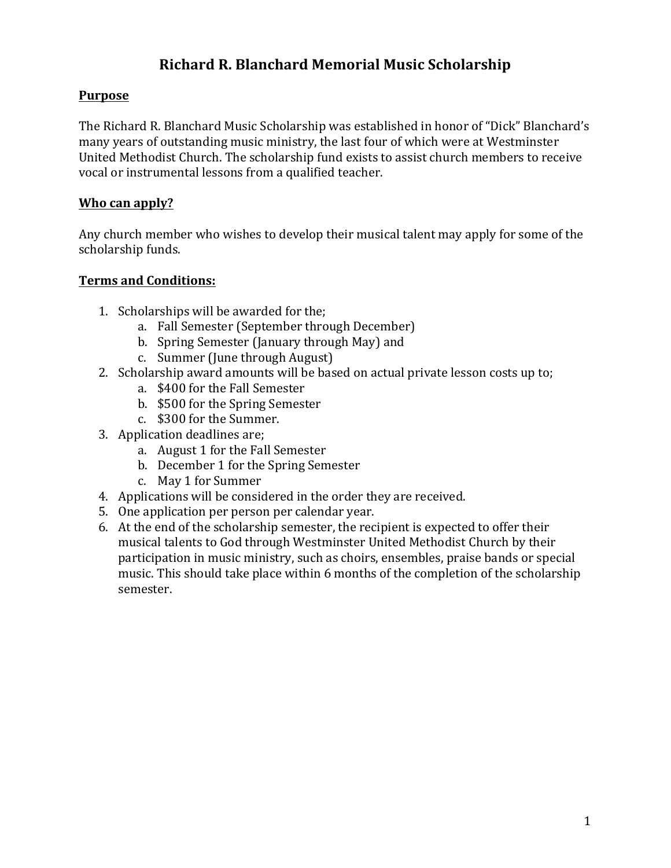# **Richard R. Blanchard Memorial Music Scholarship**

## **Purpose**

The Richard R. Blanchard Music Scholarship was established in honor of "Dick" Blanchard's many years of outstanding music ministry, the last four of which were at Westminster United Methodist Church. The scholarship fund exists to assist church members to receive vocal or instrumental lessons from a qualified teacher.

### **Who can apply?**

Any church member who wishes to develop their musical talent may apply for some of the scholarship funds.

#### **Terms and Conditions:**

- 1. Scholarships will be awarded for the;
	- a. Fall Semester (September through December)
	- b. Spring Semester (January through May) and
	- c. Summer (June through August)
- 2. Scholarship award amounts will be based on actual private lesson costs up to;
	- a. \$400 for the Fall Semester
	- b. \$500 for the Spring Semester
	- c. \$300 for the Summer.
- 3. Application deadlines are;
	- a. August 1 for the Fall Semester
	- b. December 1 for the Spring Semester
	- c. May 1 for Summer
- 4. Applications will be considered in the order they are received.
- 5. One application per person per calendar year.
- 6. At the end of the scholarship semester, the recipient is expected to offer their musical talents to God through Westminster United Methodist Church by their participation in music ministry, such as choirs, ensembles, praise bands or special music. This should take place within 6 months of the completion of the scholarship semester.